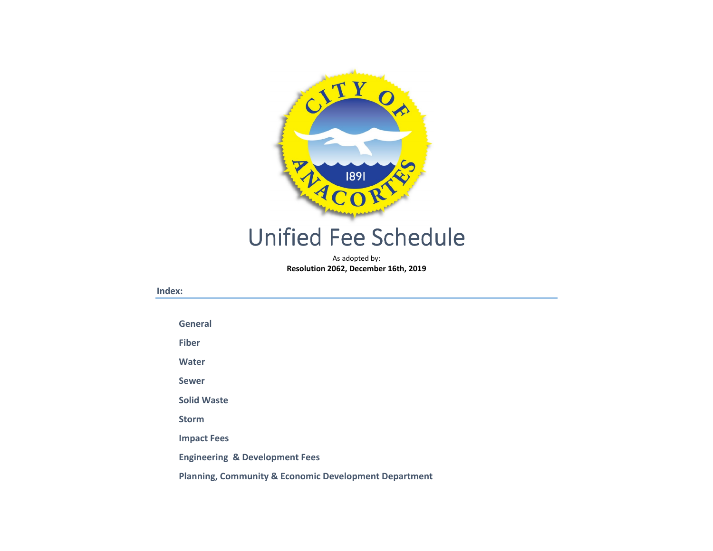

# Unified Fee Schedule

As adopted by:Resolution 2062, December 16th, 2019

#### Index:

General

Fiber

Water

Sewer

Solid Waste

Storm

Impact Fees

Engineering & Development Fees

Planning, Community & Economic Development Department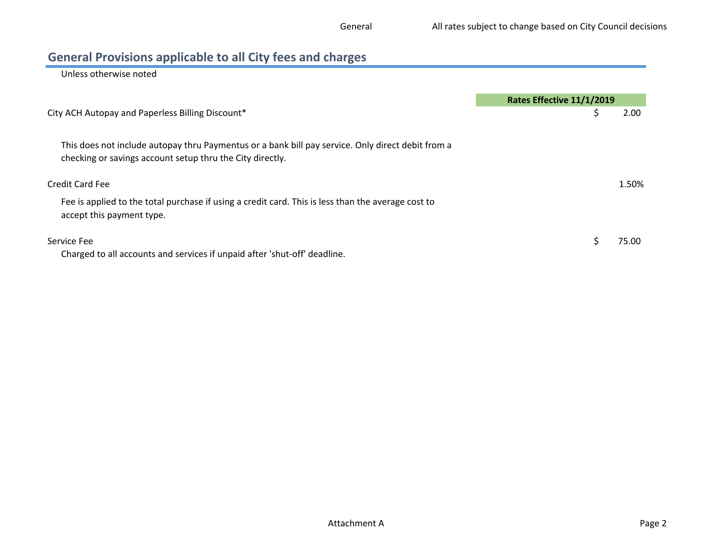# General Provisions applicable to all City fees and charges

Unless otherwise noted

|                                                                                                                                                                | Rates Effective 11/1/2019 |
|----------------------------------------------------------------------------------------------------------------------------------------------------------------|---------------------------|
| City ACH Autopay and Paperless Billing Discount*                                                                                                               | 2.00                      |
| This does not include autopay thru Paymentus or a bank bill pay service. Only direct debit from a<br>checking or savings account setup thru the City directly. |                           |
| Credit Card Fee                                                                                                                                                | 1.50%                     |
| Fee is applied to the total purchase if using a credit card. This is less than the average cost to<br>accept this payment type.                                |                           |
| Service Fee<br>Charged to all accounts and services if unpaid after 'shut-off' deadline.                                                                       | 75.00                     |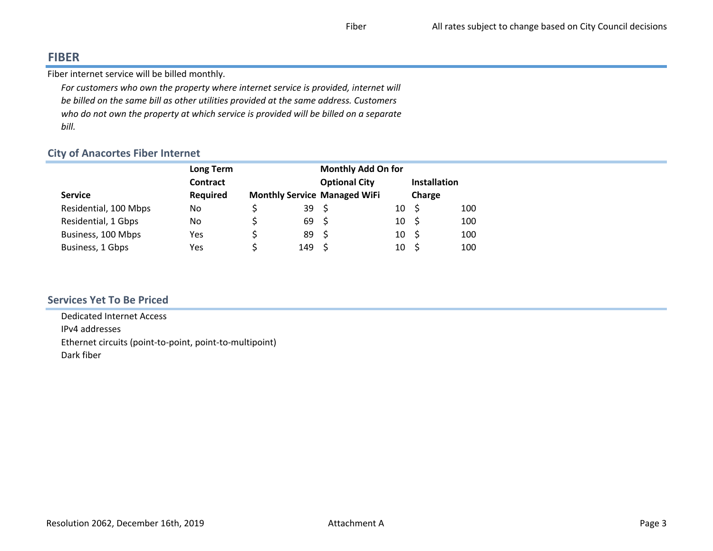## FIBER

Fiber internet service will be billed monthly.

For customers who own the property where internet service is provided, internet will be billed on the same bill as other utilities provided at the same address. Customers who do not own the property at which service is provided will be billed on a separate bill.

## City of Anacortes Fiber Internet

|                       | <b>Long Term</b> | <b>Monthly Add On for</b> |                  |                                     |          |                     |     |
|-----------------------|------------------|---------------------------|------------------|-------------------------------------|----------|---------------------|-----|
|                       | Contract         |                           |                  | <b>Optional City</b>                |          | <b>Installation</b> |     |
| <b>Service</b>        | <b>Required</b>  |                           |                  | <b>Monthly Service Managed WiFi</b> |          | Charge              |     |
| Residential, 100 Mbps | No               |                           | 39 <sup>5</sup>  |                                     | 10       | - \$                | 100 |
| Residential, 1 Gbps   | No               |                           | 69 S             |                                     | $10 \pm$ |                     | 100 |
| Business, 100 Mbps    | Yes              |                           | 89 <sup>5</sup>  |                                     | $10 \pm$ |                     | 100 |
| Business, 1 Gbps      | Yes              |                           | 149 <sup>5</sup> |                                     | 10       | - S                 | 100 |
|                       |                  |                           |                  |                                     |          |                     |     |

## Services Yet To Be Priced

 Dedicated Internet AccessIPv4 addresses Ethernet circuits (point-to-point, point-to-multipoint)Dark fiber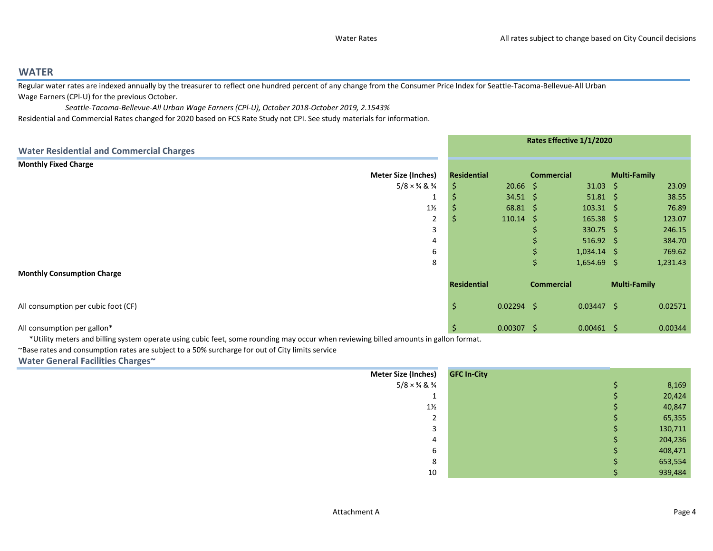## WATER

 Regular water rates are indexed annually by the treasurer to reflect one hundred percent of any change from the Consumer Price Index for Seattle-Tacoma-Bellevue-All Urban Wage Earners (CPl-U) for the previous October.

 Seattle-Tacoma-Bellevue-All Urban Wage Earners (CPl-U), October 2018-October 2019, 2.1543%Residential and Commercial Rates changed for 2020 based on FCS Rate Study not CPI. See study materials for information.

|                                                 |                | Rates Effective 1/1/2020 |                   |                   |                   |                     |          |
|-------------------------------------------------|----------------|--------------------------|-------------------|-------------------|-------------------|---------------------|----------|
| <b>Water Residential and Commercial Charges</b> |                |                          |                   |                   |                   |                     |          |
| <b>Monthly Fixed Charge</b>                     |                |                          |                   |                   |                   |                     |          |
| <b>Meter Size (Inches)</b>                      |                | Residential              |                   | <b>Commercial</b> |                   | <b>Multi-Family</b> |          |
| $5/8 \times \frac{3}{4}$ & $\frac{3}{4}$        |                | S                        | $20.66$ \$        |                   | $31.03 \quad $$   |                     | 23.09    |
|                                                 | ÷              |                          | $34.51 \; \S$     |                   | $51.81 \quad $$   |                     | 38.55    |
|                                                 | $1\frac{1}{2}$ |                          | $68.81 \; \zeta$  |                   | $103.31 \quad $$  |                     | 76.89    |
|                                                 | 2              | $\mathcal{P}$            | $110.14 \div$     |                   | $165.38 \quad$ \$ |                     | 123.07   |
|                                                 | 3              |                          |                   |                   | $330.75$ \$       |                     | 246.15   |
|                                                 | 4              |                          |                   |                   | $516.92 \div$     |                     | 384.70   |
|                                                 | 6              |                          |                   |                   | $1,034.14$ \$     |                     | 769.62   |
|                                                 | 8              |                          |                   | Ŝ.                | $1,654.69$ \$     |                     | 1,231.43 |
| <b>Monthly Consumption Charge</b>               |                |                          |                   |                   |                   |                     |          |
|                                                 |                | Residential              |                   | <b>Commercial</b> |                   | <b>Multi-Family</b> |          |
| All consumption per cubic foot (CF)             |                | S                        | $0.02294$ \$      |                   | $0.03447$ \$      |                     | 0.02571  |
| All consumption per gallon*                     |                | .s                       | $0.00307 \quad $$ |                   | $0.00461 \quad $$ |                     | 0.00344  |

\*Utility meters and billing system operate using cubic feet, some rounding may occur when reviewing billed amounts in gallon format.

~Base rates and consumption rates are subject to a 50% surcharge for out of City limits service

Water General Facilities Charges~

| <b>Meter Size (Inches)</b>               | <b>GFC In-City</b> |         |
|------------------------------------------|--------------------|---------|
| $5/8 \times \frac{3}{4}$ & $\frac{3}{4}$ |                    | 8,169   |
|                                          |                    | 20,424  |
| $1\frac{1}{2}$                           |                    | 40,847  |
| $\mathbf{\hat{}}$<br>▵                   |                    | 65,355  |
| э                                        |                    | 130,711 |
| 4                                        |                    | 204,236 |
| b                                        |                    | 408,471 |
| 8                                        |                    | 653,554 |
| 10                                       |                    | 939,484 |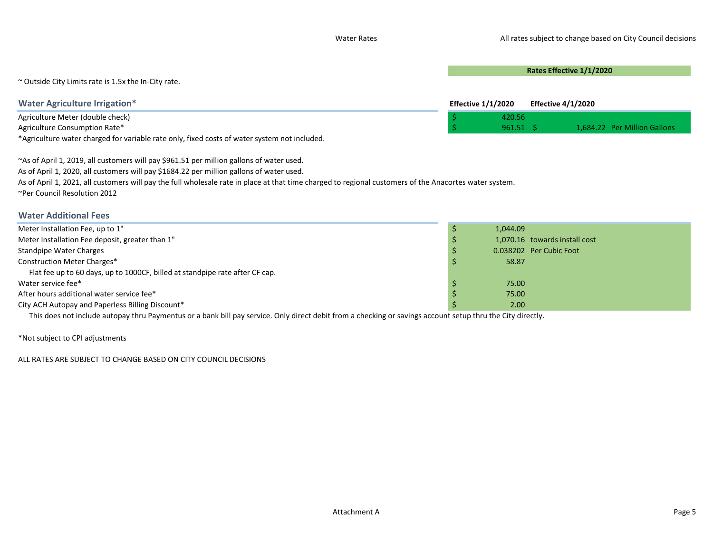Rates Effective 1/1/2020

~ Outside City Limits rate is 1.5x the In-City rate.

| Water Agriculture Irrigation*                                                                | <b>Effective 1/1/2020</b> |            | Effective 4/1/2020 |                              |
|----------------------------------------------------------------------------------------------|---------------------------|------------|--------------------|------------------------------|
| Agriculture Meter (double check)                                                             |                           | 420.56     |                    |                              |
| Agriculture Consumption Rate*                                                                |                           | $961.51$ S |                    | 1.684.22 Per Million Gallons |
| *Agriculture water charged for variable rate only, fixed costs of water system not included. |                           |            |                    |                              |

~As of April 1, 2019, all customers will pay \$961.51 per million gallons of water used. As of April 1, 2020, all customers will pay \$1684.22 per million gallons of water used. As of April 1, 2021, all customers will pay the full wholesale rate in place at that time charged to regional customers of the Anacortes water system. ~Per Council Resolution 2012

#### Water Additional Fees

| Meter Installation Fee, up to 1"                                                                                                                            | 1.044.09                      |
|-------------------------------------------------------------------------------------------------------------------------------------------------------------|-------------------------------|
| Meter Installation Fee deposit, greater than 1"                                                                                                             | 1,070.16 towards install cost |
| Standpipe Water Charges                                                                                                                                     | 0.038202 Per Cubic Foot       |
| Construction Meter Charges*                                                                                                                                 | 58.87                         |
| Flat fee up to 60 days, up to 1000CF, billed at standpipe rate after CF cap.                                                                                |                               |
| Water service fee*                                                                                                                                          | 75.00                         |
| After hours additional water service fee*                                                                                                                   | 75.00                         |
| City ACH Autopay and Paperless Billing Discount*                                                                                                            | 2.00                          |
| This does not include autopay thru Paymentus or a bank bill pay service. Only direct debit from a checking or savings account setup thru the City directly. |                               |

\*Not subject to CPI adjustments

ALL RATES ARE SUBJECT TO CHANGE BASED ON CITY COUNCIL DECISIONS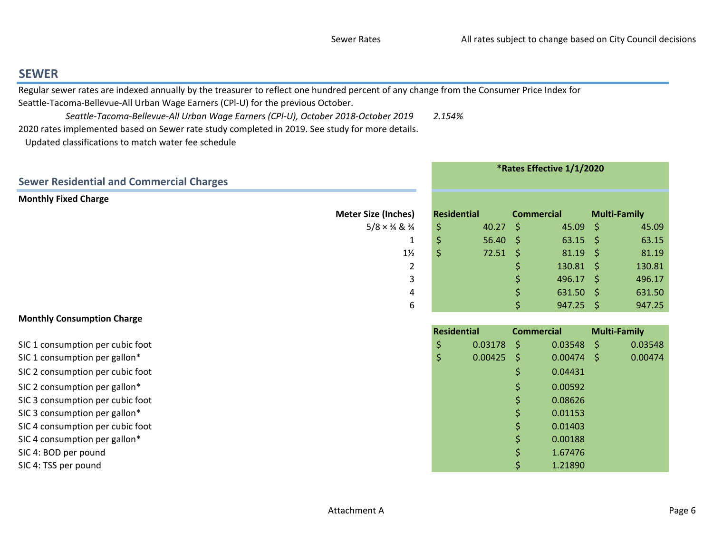0.08626

0.01153

0.01403

0.00188

1.67476

## SEWER

Regular sewer rates are indexed annually by the treasurer to reflect one hundred percent of any change from the Consumer Price Index for

Seattle-Tacoma-Bellevue-All Urban Wage Earners (CPl-U) for the previous October.

 Seattle-Tacoma-Bellevue-All Urban Wage Earners (CPl-U), October 2018-October 20192.154%

2020 rates implemented based on Sewer rate study completed in 2019. See study for more details.

Updated classifications to match water fee schedule

|                                                 | *Rates Effective 1/1/2020               |                 |                     |                  |    |         |
|-------------------------------------------------|-----------------------------------------|-----------------|---------------------|------------------|----|---------|
| <b>Sewer Residential and Commercial Charges</b> |                                         |                 |                     |                  |    |         |
| <b>Monthly Fixed Charge</b>                     |                                         |                 |                     |                  |    |         |
| <b>Meter Size (Inches)</b>                      | <b>Residential</b><br><b>Commercial</b> |                 | <b>Multi-Family</b> |                  |    |         |
| $5/8 \times \frac{3}{4}$ & $\frac{3}{4}$        | \$                                      | $40.27$ \$      |                     | $45.09 \div$     |    | 45.09   |
|                                                 | \$                                      | $56.40 \div$    |                     | $63.15$ \$       |    | 63.15   |
| $1\frac{1}{2}$                                  | \$                                      | $72.51 \quad $$ |                     | $81.19 \div$     |    | 81.19   |
| 2                                               |                                         |                 |                     | $130.81 \quad $$ |    | 130.81  |
| 3                                               |                                         |                 |                     | $496.17$ \$      |    | 496.17  |
| 4                                               |                                         |                 |                     | $631.50$ \$      |    | 631.50  |
| 6                                               |                                         |                 | \$                  | $947.25$ \$      |    | 947.25  |
| <b>Monthly Consumption Charge</b>               |                                         |                 |                     |                  |    |         |
|                                                 | <b>Residential</b><br><b>Commercial</b> |                 | <b>Multi-Family</b> |                  |    |         |
| SIC 1 consumption per cubic foot                | \$                                      | 0.03178         | S.                  | 0.03548          | S. | 0.03548 |
| SIC 1 consumption per gallon*                   | \$                                      | $0.00425$ \$    |                     | $0.00474$ \$     |    | 0.00474 |
| SIC 2 consumption per cubic foot                |                                         |                 | \$                  | 0.04431          |    |         |
| SIC 2 consumption per gallon*                   |                                         |                 | \$                  | 0.00592          |    |         |

SIC 3 consumption per cubic foott the contract of the contract of the contract of the contract of  $\zeta$  and  $\zeta$  and  $\zeta$  and  $\zeta$  and  $\zeta$  and  $\zeta$  and  $\zeta$  and  $\zeta$  and  $\zeta$  and  $\zeta$  and  $\zeta$  and  $\zeta$  and  $\zeta$  and  $\zeta$  and  $\zeta$  and  $\zeta$ 

SIC 3 consumption per gallon\* $\frac{1}{2}$  0.01153

- SIC 4 consumption per cubic foott the contraction of the contraction of the contraction of  $\frac{1}{2}$  (0.01403)
- SIC 4 consumption per gallon\* $\frac{1}{5}$  0.00188

SIC 4: BOD per poundd  $\frac{1}{5}$  1.67476

SIC 4: TSS per pound $\uparrow$  1.21890

Attachment A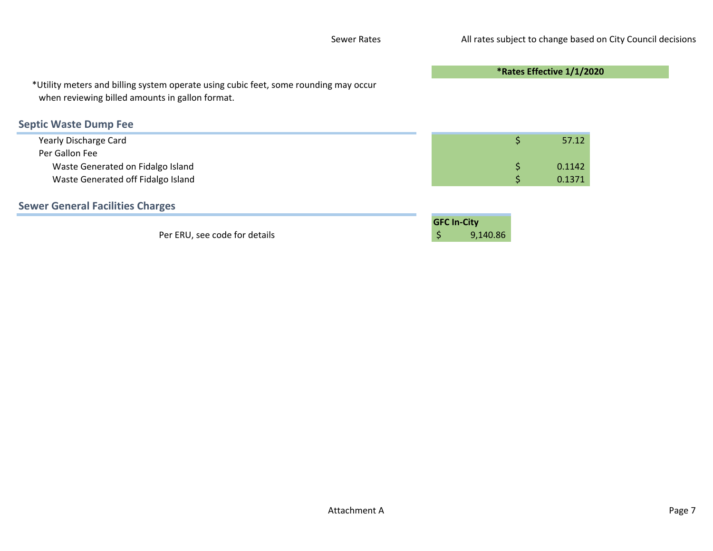|                                                                                                                                         |                                      | *Rates Effective 1/1/2020 |  |
|-----------------------------------------------------------------------------------------------------------------------------------------|--------------------------------------|---------------------------|--|
| *Utility meters and billing system operate using cubic feet, some rounding may occur<br>when reviewing billed amounts in gallon format. |                                      |                           |  |
| <b>Septic Waste Dump Fee</b>                                                                                                            |                                      |                           |  |
| Yearly Discharge Card                                                                                                                   |                                      | \$<br>57.12               |  |
| Per Gallon Fee                                                                                                                          |                                      |                           |  |
| Waste Generated on Fidalgo Island                                                                                                       |                                      | \$<br>0.1142              |  |
| Waste Generated off Fidalgo Island                                                                                                      |                                      | 0.1371                    |  |
| <b>Sewer General Facilities Charges</b>                                                                                                 |                                      |                           |  |
| Per ERU, see code for details                                                                                                           | <b>GFC In-City</b><br>\$<br>9,140.86 |                           |  |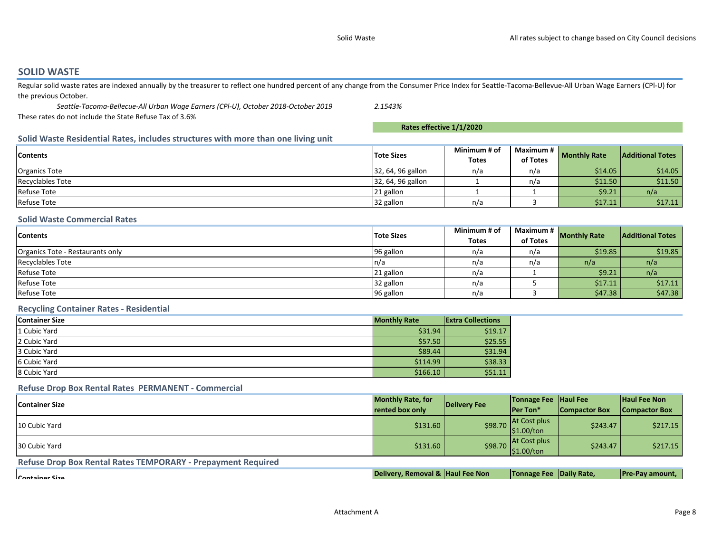#### SOLID WASTE

Regular solid waste rates are indexed annually by the treasurer to reflect one hundred percent of any change from the Consumer Price Index for Seattle-Tacoma-Bellevue-All Urban Wage Earners (CPI-U) for the previous October.

 Seattle-Tacoma-Bellecue-All Urban Wage Earners (CPl-U), October 2018-October 2019 These rates do not include the State Refuse Tax of 3.6%

Rates effective 1/1/2020

2.1543%

#### Solid Waste Residential Rates, includes structures with more than one living unit

| <b>Contents</b>      | <b>Tote Sizes</b> | Minimum # of | Maximum # | <b>Monthly Rate</b> | <b>Additional Totes</b> |  |
|----------------------|-------------------|--------------|-----------|---------------------|-------------------------|--|
|                      |                   | <b>Totes</b> | of Totes  |                     |                         |  |
| <b>Organics Tote</b> | 32, 64, 96 gallon | n/a          | n/a       | \$14.05             | \$14.05                 |  |
| Recyclables Tote     | 32, 64, 96 gallon |              | n/a       | \$11.50             | \$11.50                 |  |
| <b>Refuse Tote</b>   | 21 gallon         |              |           | \$9.21              | n/a                     |  |
| <b>Refuse Tote</b>   | 32 gallon         | n/a          |           | \$17.11             | \$17.11                 |  |

#### Solid Waste Commercial Rates

| <b>Contents</b>                  | <b>Tote Sizes</b>     | Minimum # of |          | Maximum #<br><b>Monthly Rate</b> |                         |  |
|----------------------------------|-----------------------|--------------|----------|----------------------------------|-------------------------|--|
|                                  |                       | <b>Totes</b> | of Totes |                                  | <b>Additional Totes</b> |  |
| Organics Tote - Restaurants only | 96 gallon             | n/a          | n/a      | \$19.85                          | \$19.85                 |  |
| <b>Recyclables Tote</b>          | $\lfloor n/a \rfloor$ | n/a          | n/a      | n/a                              | n/a                     |  |
| <b>Refuse Tote</b>               | 21 gallon             | n/a          |          | \$9.21                           | n/a                     |  |
| <b>Refuse Tote</b>               | 32 gallon             | n/a          |          | \$17.11                          | \$17.11                 |  |
| <b>Refuse Tote</b>               | 96 gallon             | n/a          |          | \$47.38                          | \$47.38                 |  |

#### Recycling Container Rates - Residential

| <b>Container Size</b> | <b>Monthly Rate</b> | <b>Extra Collections</b> |
|-----------------------|---------------------|--------------------------|
| 1 Cubic Yard          | \$31.94             | \$19.17                  |
| 2 Cubic Yard          | \$57.50             | \$25.55                  |
| 3 Cubic Yard          | \$89.44             | \$31.94                  |
| 6 Cubic Yard          | \$114.99            | \$38.33                  |
| 8 Cubic Yard          | \$166.10            | \$51.11                  |

#### Refuse Drop Box Rental Rates PERMANENT - Commercial

| <b>Container Size</b> | <b>Monthly Rate, for</b> | Delivery Fee | <b>Tonnage Fee Haul Fee</b>          |                      | <b>Haul Fee Non</b>  |
|-----------------------|--------------------------|--------------|--------------------------------------|----------------------|----------------------|
|                       | rented box only          |              | <b>Per Ton*</b>                      | <b>Compactor Box</b> | <b>Compactor Box</b> |
| 10 Cubic Yard         | \$131.60                 | \$98.70      | <b>At Cost plus</b><br>S1.00/ton     | \$243.47             | \$217.15             |
| 30 Cubic Yard         | \$131.60                 | \$98.70      | <b>At Cost plus</b><br>$ $1.00/t$ on | \$243.47             | \$217.15             |

Refuse Drop Box Rental Rates TEMPORARY - Prepayment Required

Container Size

Delivery, Removal & |Haul Fee Non

Tonnage Fee |Daily Rate, Pre-Pay amount,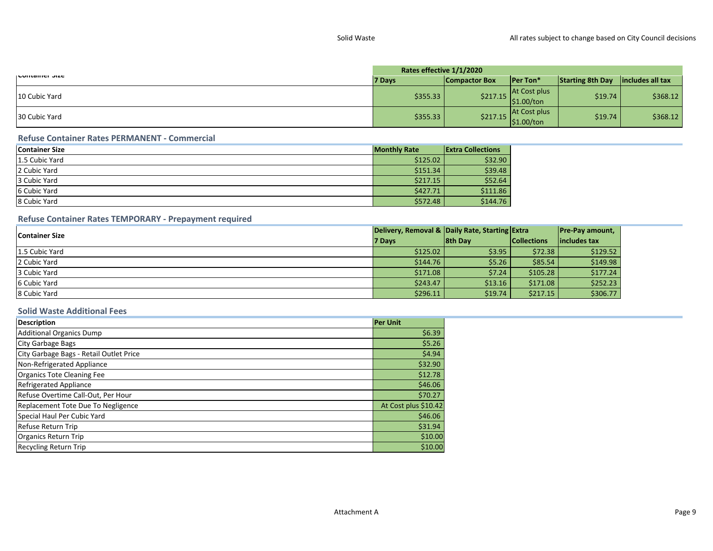|                | Rates effective 1/1/2020 |                      |                                    |                         |                  |  |  |
|----------------|--------------------------|----------------------|------------------------------------|-------------------------|------------------|--|--|
| אונסווופו אונד | 7 Days                   | <b>Compactor Box</b> | <b>IPer Ton*</b>                   | <b>Starting 8th Day</b> | includes all tax |  |  |
| 10 Cubic Yard  | \$355.33                 | \$217.15             | At Cost plus<br>$ $1.00/t$ on      | \$19.74                 | \$368.12         |  |  |
| 30 Cubic Yard  | \$355.33                 | \$217.15             | <b>At Cost plus</b><br> \$1.00/ton | \$19.74                 | \$368.12         |  |  |

#### Refuse Container Rates PERMANENT - Commercial

| <b>Container Size</b> | <b>Monthly Rate</b> | <b>Extra Collections</b> |
|-----------------------|---------------------|--------------------------|
| 1.5 Cubic Yard        | \$125.02            | \$32.90                  |
| 2 Cubic Yard          | \$151.34            | \$39.48                  |
| 3 Cubic Yard          | \$217.15            | \$52.64                  |
| 6 Cubic Yard          | \$427.71            | \$111.86                 |
| 8 Cubic Yard          | \$572.48            | \$144.76                 |

#### Refuse Container Rates TEMPORARY - Prepayment required

| <b>Container Size</b> | Delivery, Removal & Daily Rate, Starting Extra |                |                    | <b>Pre-Pay amount,</b> |
|-----------------------|------------------------------------------------|----------------|--------------------|------------------------|
|                       | 7 Days                                         | <b>8th Day</b> | <b>Collections</b> | lincludes tax          |
| 1.5 Cubic Yard        | \$125.02                                       | \$3.95         | \$72.38            | \$129.52               |
| 2 Cubic Yard          | \$144.76                                       | \$5.26         | \$85.54            | \$149.98               |
| 3 Cubic Yard          | \$171.08                                       | \$7.24         | \$105.28           | \$177.24               |
| 6 Cubic Yard          | \$243.47                                       | \$13.16        | \$171.08           | \$252.23               |
| 8 Cubic Yard          | \$296.11                                       | \$19.74        | \$217.15           | \$306.77               |

#### Solid Waste Additional Fees

| <b>Description</b>                      | <b>Per Unit</b>      |
|-----------------------------------------|----------------------|
| <b>Additional Organics Dump</b>         | \$6.39               |
| <b>City Garbage Bags</b>                | \$5.26               |
| City Garbage Bags - Retail Outlet Price | \$4.94               |
| Non-Refrigerated Appliance              | \$32.90              |
| Organics Tote Cleaning Fee              | \$12.78              |
| <b>Refrigerated Appliance</b>           | \$46.06              |
| Refuse Overtime Call-Out, Per Hour      | \$70.27              |
| Replacement Tote Due To Negligence      | At Cost plus \$10.42 |
| Special Haul Per Cubic Yard             | \$46.06              |
| Refuse Return Trip                      | \$31.94              |
| <b>Organics Return Trip</b>             | \$10.00              |
| <b>Recycling Return Trip</b>            | \$10.00              |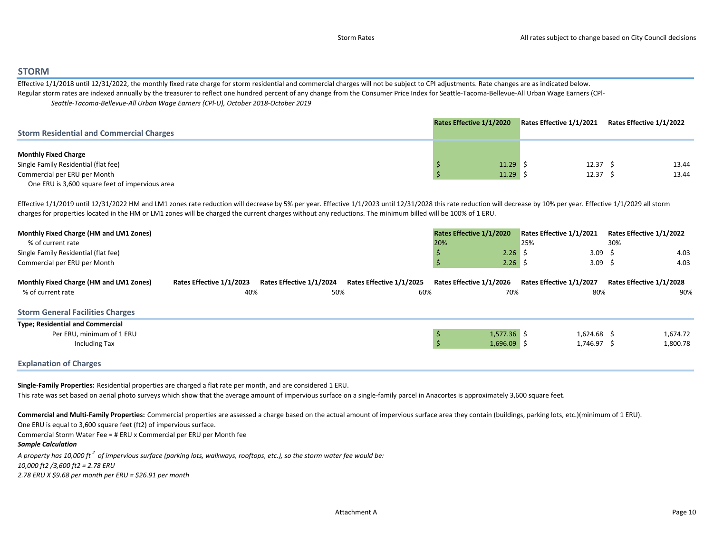#### STORM

 Effective 1/1/2018 until 12/31/2022, the monthly fixed rate charge for storm residential and commercial charges will not be subject to CPI adjustments. Rate changes are as indicated below.Regular storm rates are indexed annually by the treasurer to reflect one hundred percent of any change from the Consumer Price Index for Seattle-Tacoma-Bellevue-All Urban Wage Earners (CPI-Seattle-Tacoma-Bellevue-All Urban Wage Earners (CPl-U), October 2018-October 2019

|                                                 | Rates Effective 1/1/2020 | Rates Effective 1/1/2021 | Rates Effective 1/1/2022 |
|-------------------------------------------------|--------------------------|--------------------------|--------------------------|
| <b>Storm Residential and Commercial Charges</b> |                          |                          |                          |
|                                                 |                          |                          |                          |
| <b>Monthly Fixed Charge</b>                     |                          |                          |                          |
| Single Family Residential (flat fee)            | $11.29$ \$               | 12.37 <sub>5</sub>       | 13.44                    |
| Commercial per ERU per Month                    | $11.29$ \$               | 12.37 <sup>5</sup>       | 13.44                    |
| One ERU is 3,600 square feet of impervious area |                          |                          |                          |

Effective 1/1/2019 until 12/31/2022 HM and LM1 zones rate reduction will decrease by 5% per year. Effective 1/1/2023 until 12/31/2028 this rate reduction will decrease by 10% per year. Effective 1/1/2029 all storm charges for properties located in the HM or LM1 zones will be charged the current charges without any reductions. The minimum billed will be 100% of 1 ERU.

| Monthly Fixed Charge (HM and LM1 Zones) | Rates Effective 1/1/2020 | Rates Effective 1/1/2021 | Rates Effective 1/1/2022 |
|-----------------------------------------|--------------------------|--------------------------|--------------------------|
| % of current rate                       | 20%                      | 25%                      | 30%                      |
| Single Family Residential (flat fee)    | 2.26                     | 3.09                     | 4.03                     |
| Commercial per ERU per Month            | 2.26                     | 3.09                     | 4.03                     |

| Monthly Fixed Charge (HM and LM1 Zones) | Rates Effective 1/1/2023 | Rates Effective 1/1/2024 | Rates Effective 1/1/2025 | Rates Effective 1/1/2026 | Rates Effective 1/1/2027 | Rates Effective 1/1/2028 |
|-----------------------------------------|--------------------------|--------------------------|--------------------------|--------------------------|--------------------------|--------------------------|
| % of current rate                       | 40%                      | 50%                      | 60%                      | 70%                      | 80%                      | 90%                      |
| <b>Storm General Facilities Charges</b> |                          |                          |                          |                          |                          |                          |
| <b>Type; Residential and Commercial</b> |                          |                          |                          |                          |                          |                          |
| Per ERU, minimum of 1 ERU               |                          |                          |                          | $1,577.36$ \$            | 1.624.68 \$              | 1,674.72                 |
| <b>Including Tax</b>                    |                          |                          |                          | $1,696.09$ \$            | 1,746.97 \$              | 1,800.78                 |
| <b>Explanation of Charges</b>           |                          |                          |                          |                          |                          |                          |

Single-Family Properties: Residential properties are charged a flat rate per month, and are considered 1 ERU.

This rate was set based on aerial photo surveys which show that the average amount of impervious surface on a single-family parcel in Anacortes is approximately 3,600 square feet.

Commercial and Multi-Family Properties: Commercial properties are assessed a charge based on the actual amount of impervious surface area they contain (buildings, parking lots, etc.)(minimum of 1 ERU). One ERU is equal to 3,600 square feet (ft2) of impervious surface.

Commercial Storm Water Fee = # ERU x Commercial per ERU per Month fee

#### Sample Calculation

A property has 10,000 ft  $^2$  of impervious surface (parking lots, walkways, rooftops, etc.), so the storm water fee would be:

10,000 ft2 /3,600 ft2 = 2.78 ERU

2.78 ERU X \$9.68 per month per ERU = \$26.91 per month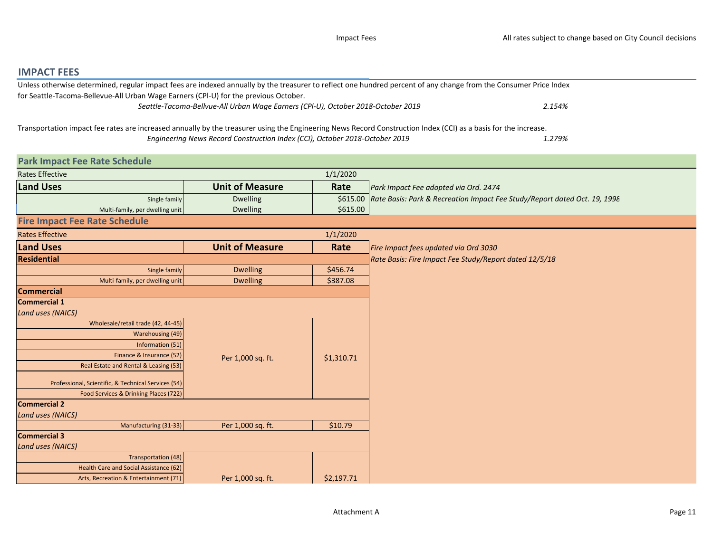### IMPACT FEES

| Unless otherwise determined, regular impact fees are indexed annually by the treasurer to reflect one hundred percent of any change from the Consumer Price Index |  |
|-------------------------------------------------------------------------------------------------------------------------------------------------------------------|--|
| for Seattle-Tacoma-Bellevue-All Urban Wage Earners (CPI-U) for the previous October.                                                                              |  |
| Seattle-Tacoma-Bellvue-All Urban Wage Earners (CPI-U), October 2018-October 2019<br>2.154%                                                                        |  |
|                                                                                                                                                                   |  |

1.279%Transportation impact fee rates are increased annually by the treasurer using the Engineering News Record Construction Index (CCI) as a basis for the increase. Engineering News Record Construction Index (CCI), October 2018-October 2019

| <b>Park Impact Fee Rate Schedule</b>                |                        |            |                                                                                    |
|-----------------------------------------------------|------------------------|------------|------------------------------------------------------------------------------------|
| <b>Rates Effective</b>                              |                        | 1/1/2020   |                                                                                    |
| <b>Land Uses</b>                                    | <b>Unit of Measure</b> | Rate       | Park Impact Fee adopted via Ord. 2474                                              |
| Single family                                       | Dwelling               |            | \$615.00 Rate Basis: Park & Recreation Impact Fee Study/Report dated Oct. 19, 1998 |
| Multi-family, per dwelling unit                     | <b>Dwelling</b>        | \$615.00   |                                                                                    |
| <b>Fire Impact Fee Rate Schedule</b>                |                        |            |                                                                                    |
| <b>Rates Effective</b>                              |                        | 1/1/2020   |                                                                                    |
| <b>Land Uses</b>                                    | <b>Unit of Measure</b> | Rate       | Fire Impact fees updated via Ord 3030                                              |
| Residential                                         |                        |            | Rate Basis: Fire Impact Fee Study/Report dated 12/5/18                             |
| Single family                                       | <b>Dwelling</b>        | \$456.74   |                                                                                    |
| Multi-family, per dwelling unit                     | <b>Dwelling</b>        | \$387.08   |                                                                                    |
| <b>Commercial</b>                                   |                        |            |                                                                                    |
| <b>Commercial 1</b>                                 |                        |            |                                                                                    |
| <b>Land uses (NAICS)</b>                            |                        |            |                                                                                    |
| Wholesale/retail trade (42, 44-45)                  |                        |            |                                                                                    |
| Warehousing (49)                                    |                        |            |                                                                                    |
| Information (51)                                    |                        |            |                                                                                    |
| Finance & Insurance (52)                            | Per 1,000 sq. ft.      | \$1,310.71 |                                                                                    |
| Real Estate and Rental & Leasing (53)               |                        |            |                                                                                    |
| Professional, Scientific, & Technical Services (54) |                        |            |                                                                                    |
| Food Services & Drinking Places (722)               |                        |            |                                                                                    |
| <b>Commercial 2</b>                                 |                        |            |                                                                                    |
| <b>Land uses (NAICS)</b>                            |                        |            |                                                                                    |
| Manufacturing (31-33)                               | Per 1,000 sq. ft.      | \$10.79    |                                                                                    |
| <b>Commercial 3</b>                                 |                        |            |                                                                                    |
| <b>Land uses (NAICS)</b>                            |                        |            |                                                                                    |
| Transportation (48)                                 |                        |            |                                                                                    |
| Health Care and Social Assistance (62)              |                        |            |                                                                                    |
| Arts, Recreation & Entertainment (71)               | Per 1,000 sq. ft.      | \$2,197.71 |                                                                                    |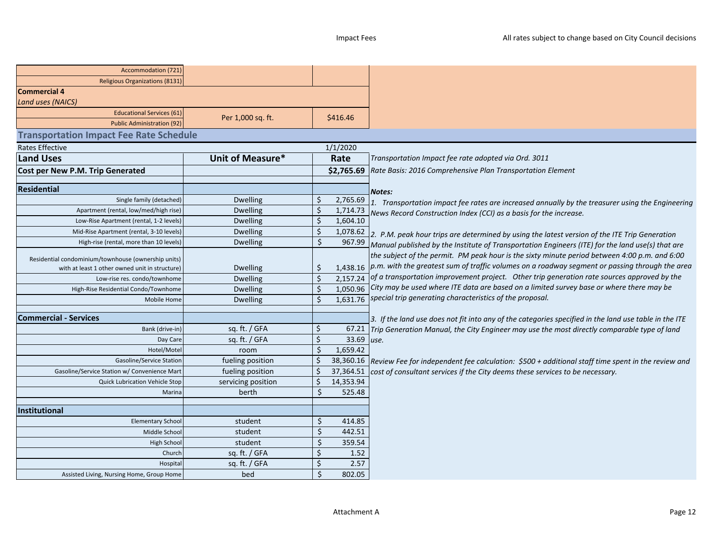| Accommodation (721)                                 |                    |                    |                     |                                                                                                             |
|-----------------------------------------------------|--------------------|--------------------|---------------------|-------------------------------------------------------------------------------------------------------------|
| <b>Religious Organizations (8131)</b>               |                    |                    |                     |                                                                                                             |
| <b>Commercial 4</b>                                 |                    |                    |                     |                                                                                                             |
| <b>Land uses (NAICS)</b>                            |                    |                    |                     |                                                                                                             |
| <b>Educational Services (61)</b>                    | Per 1,000 sq. ft.  |                    | \$416.46            |                                                                                                             |
| <b>Public Administration (92)</b>                   |                    |                    |                     |                                                                                                             |
| <b>Transportation Impact Fee Rate Schedule</b>      |                    |                    |                     |                                                                                                             |
| Rates Effective                                     |                    |                    | 1/1/2020            |                                                                                                             |
| <b>Land Uses</b>                                    | Unit of Measure*   |                    | Rate                | Transportation Impact fee rate adopted via Ord. 3011                                                        |
| Cost per New P.M. Trip Generated                    |                    |                    | \$2,765.69          | Rate Basis: 2016 Comprehensive Plan Transportation Element                                                  |
|                                                     |                    |                    |                     |                                                                                                             |
| <b>Residential</b>                                  |                    |                    |                     | <b>Notes:</b>                                                                                               |
| Single family (detached)                            | <b>Dwelling</b>    | \$                 | 2,765.69            | 1. Transportation impact fee rates are increased annually by the treasurer using the Engineering            |
| Apartment (rental, low/med/high rise)               | <b>Dwelling</b>    | Ś                  | 1,714.73            | News Record Construction Index (CCI) as a basis for the increase.                                           |
| Low-Rise Apartment (rental, 1-2 levels)             | Dwelling           | Ś                  | 1,604.10            |                                                                                                             |
| Mid-Rise Apartment (rental, 3-10 levels)            | <b>Dwelling</b>    | Ś                  | 1,078.62            | 2. P.M. peak hour trips are determined by using the latest version of the ITE Trip Generation               |
| High-rise (rental, more than 10 levels)             | <b>Dwelling</b>    | Ś.                 | 967.99              | Manual published by the Institute of Transportation Engineers (ITE) for the land use(s) that are            |
| Residential condominium/townhouse (ownership units) |                    |                    |                     | the subject of the permit. PM peak hour is the sixty minute period between 4:00 p.m. and 6:00               |
| with at least 1 other owned unit in structure)      | <b>Dwelling</b>    | \$                 |                     | 1,438.16  p.m. with the greatest sum of traffic volumes on a roadway segment or passing through the area    |
| Low-rise res. condo/townhome                        | <b>Dwelling</b>    | \$                 |                     | $2,157.24$ of a transportation improvement project. Other trip generation rate sources approved by the      |
| High-Rise Residential Condo/Townhome                | <b>Dwelling</b>    | Ś                  |                     | 1,050.96 City may be used where ITE data are based on a limited survey base or where there may be           |
| Mobile Home                                         | <b>Dwelling</b>    | $\mathsf{\hat{S}}$ | 1,631.76            | special trip generating characteristics of the proposal.                                                    |
|                                                     |                    |                    |                     |                                                                                                             |
| <b>Commercial - Services</b>                        |                    |                    |                     | 3. If the land use does not fit into any of the categories specified in the land use table in the ITE       |
| Bank (drive-in)                                     | sq. ft. / GFA      | Ś                  | 67.21               | Trip Generation Manual, the City Engineer may use the most directly comparable type of land                 |
| Day Care                                            | sq. ft. / GFA      | Ś                  | 33.69 use.          |                                                                                                             |
| Hotel/Motel                                         | room               | Ś.                 | 1,659.42            |                                                                                                             |
| Gasoline/Service Statior                            | fueling position   |                    |                     | 38,360.16 Review Fee for independent fee calculation: \$500 + additional staff time spent in the review and |
| Gasoline/Service Station w/ Convenience Mar         | fueling position   |                    | 37,364.51           | cost of consultant services if the City deems these services to be necessary.                               |
| <b>Quick Lubrication Vehicle Stop</b>               | servicing position | Ŝ<br>Ś             | 14,353.94<br>525.48 |                                                                                                             |
| Marina                                              | berth              |                    |                     |                                                                                                             |
| <b>Institutional</b>                                |                    |                    |                     |                                                                                                             |
| <b>Elementary School</b>                            | student            |                    | 414.85              |                                                                                                             |
| Middle School                                       | student            | Ŝ.                 | 442.51              |                                                                                                             |
| High School                                         | student            |                    | 359.54              |                                                                                                             |
| Church                                              | sq. ft. / GFA      |                    | 1.52                |                                                                                                             |
| Hospita                                             | sq. ft. / GFA      |                    | 2.57                |                                                                                                             |
| Assisted Living, Nursing Home, Group Home           | bed                | $\zeta$            | 802.05              |                                                                                                             |
|                                                     |                    |                    |                     |                                                                                                             |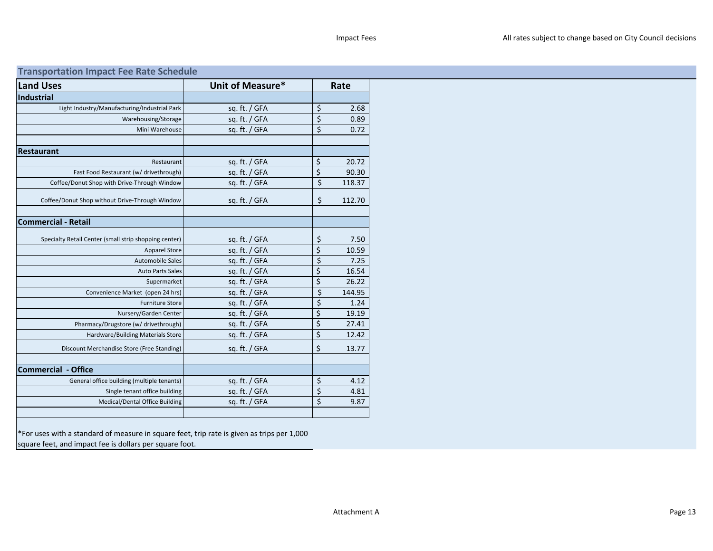## Transportation Impact Fee Rate Schedule

| <b>Land Uses</b>                                      | Unit of Measure* |                                 | Rate   |
|-------------------------------------------------------|------------------|---------------------------------|--------|
| <b>Industrial</b>                                     |                  |                                 |        |
| Light Industry/Manufacturing/Industrial Park          | sq. ft. / GFA    | \$                              | 2.68   |
| Warehousing/Storage                                   | sq. ft. $/$ GFA  | \$                              | 0.89   |
| Mini Warehouse                                        | sq. ft. / GFA    | \$                              | 0.72   |
|                                                       |                  |                                 |        |
| <b>Restaurant</b>                                     |                  |                                 |        |
| Restaurant                                            | sq. ft. $/$ GFA  | $\zeta$                         | 20.72  |
| Fast Food Restaurant (w/ drivethrough)                | sq. ft. / GFA    | $\overline{\xi}$                | 90.30  |
| Coffee/Donut Shop with Drive-Through Window           | sq. ft. / GFA    | $\overline{\xi}$                | 118.37 |
| Coffee/Donut Shop without Drive-Through Window        | sq. ft. / GFA    | \$                              | 112.70 |
| <b>Commercial - Retail</b>                            |                  |                                 |        |
| Specialty Retail Center (small strip shopping center) | sq. ft. $/$ GFA  | \$                              | 7.50   |
| <b>Apparel Store</b>                                  | sq. ft. / GFA    | $\overline{\xi}$                | 10.59  |
| <b>Automobile Sales</b>                               | sq. ft. / GFA    | \$                              | 7.25   |
| <b>Auto Parts Sales</b>                               | sq. ft. $/$ GFA  | $\overline{\xi}$                | 16.54  |
| Supermarket                                           | sq. ft. $/$ GFA  | $\overline{\xi}$                | 26.22  |
| Convenience Market (open 24 hrs)                      | sq. ft. $/$ GFA  | \$                              | 144.95 |
| <b>Furniture Store</b>                                | sq. ft. $/$ GFA  | \$                              | 1.24   |
| Nursery/Garden Center                                 | sq. ft. / GFA    | $\overline{\xi}$                | 19.19  |
| Pharmacy/Drugstore (w/ drivethrough)                  | sq. ft. / GFA    | $\overline{\xi}$                | 27.41  |
| Hardware/Building Materials Store                     | sq. ft. $/$ GFA  | $\overline{\xi}$                | 12.42  |
| Discount Merchandise Store (Free Standing)            | sq. ft. / GFA    | \$                              | 13.77  |
|                                                       |                  |                                 |        |
| <b>Commercial - Office</b>                            |                  |                                 |        |
| General office building (multiple tenants)            | sq. ft. $/$ GFA  | \$                              | 4.12   |
| Single tenant office building                         | sq. ft. / GFA    | $\overline{\boldsymbol{\zeta}}$ | 4.81   |
| Medical/Dental Office Building                        | sq. ft. / GFA    | \$                              | 9.87   |
|                                                       |                  |                                 |        |

\*For uses with a standard of measure in square feet, trip rate is given as trips per 1,000 square feet, and impact fee is dollars per square foot.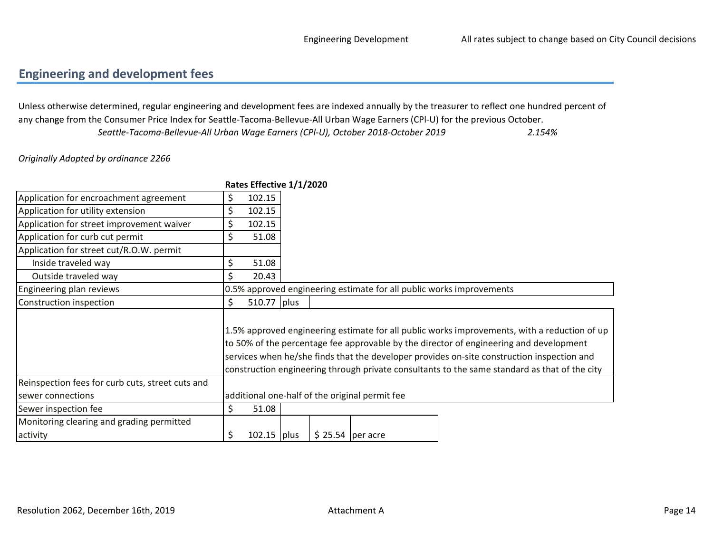## Engineering and development fees

2.154%Unless otherwise determined, regular engineering and development fees are indexed annually by the treasurer to reflect one hundred percent of any change from the Consumer Price Index for Seattle-Tacoma-Bellevue-All Urban Wage Earners (CPl-U) for the previous October.Seattle-Tacoma-Bellevue-All Urban Wage Earners (CPl-U), October 2018-October 2019

Originally Adopted by ordinance 2266

|                                                  | Rates Effective 1/1/2020 |                    |                                                                      |                                                                                                                                                                                                                                                                                                                                                                                       |
|--------------------------------------------------|--------------------------|--------------------|----------------------------------------------------------------------|---------------------------------------------------------------------------------------------------------------------------------------------------------------------------------------------------------------------------------------------------------------------------------------------------------------------------------------------------------------------------------------|
| Application for encroachment agreement           | \$<br>102.15             |                    |                                                                      |                                                                                                                                                                                                                                                                                                                                                                                       |
| Application for utility extension                | \$<br>102.15             |                    |                                                                      |                                                                                                                                                                                                                                                                                                                                                                                       |
| Application for street improvement waiver        | \$<br>102.15             |                    |                                                                      |                                                                                                                                                                                                                                                                                                                                                                                       |
| Application for curb cut permit                  | \$<br>51.08              |                    |                                                                      |                                                                                                                                                                                                                                                                                                                                                                                       |
| Application for street cut/R.O.W. permit         |                          |                    |                                                                      |                                                                                                                                                                                                                                                                                                                                                                                       |
| Inside traveled way                              | \$<br>51.08              |                    |                                                                      |                                                                                                                                                                                                                                                                                                                                                                                       |
| Outside traveled way                             | \$<br>20.43              |                    |                                                                      |                                                                                                                                                                                                                                                                                                                                                                                       |
| Engineering plan reviews                         |                          |                    | 0.5% approved engineering estimate for all public works improvements |                                                                                                                                                                                                                                                                                                                                                                                       |
| Construction inspection                          | \$<br>510.77 plus        |                    |                                                                      |                                                                                                                                                                                                                                                                                                                                                                                       |
|                                                  |                          |                    |                                                                      | 1.5% approved engineering estimate for all public works improvements, with a reduction of up<br>to 50% of the percentage fee approvable by the director of engineering and development<br>services when he/she finds that the developer provides on-site construction inspection and<br>construction engineering through private consultants to the same standard as that of the city |
| Reinspection fees for curb cuts, street cuts and |                          |                    |                                                                      |                                                                                                                                                                                                                                                                                                                                                                                       |
| sewer connections                                |                          |                    | additional one-half of the original permit fee                       |                                                                                                                                                                                                                                                                                                                                                                                       |
| Sewer inspection fee                             | \$<br>51.08              |                    |                                                                      |                                                                                                                                                                                                                                                                                                                                                                                       |
| Monitoring clearing and grading permitted        |                          |                    |                                                                      |                                                                                                                                                                                                                                                                                                                                                                                       |
| activity                                         | \$<br>$102.15$ plus      | $$25.54$  per acre |                                                                      |                                                                                                                                                                                                                                                                                                                                                                                       |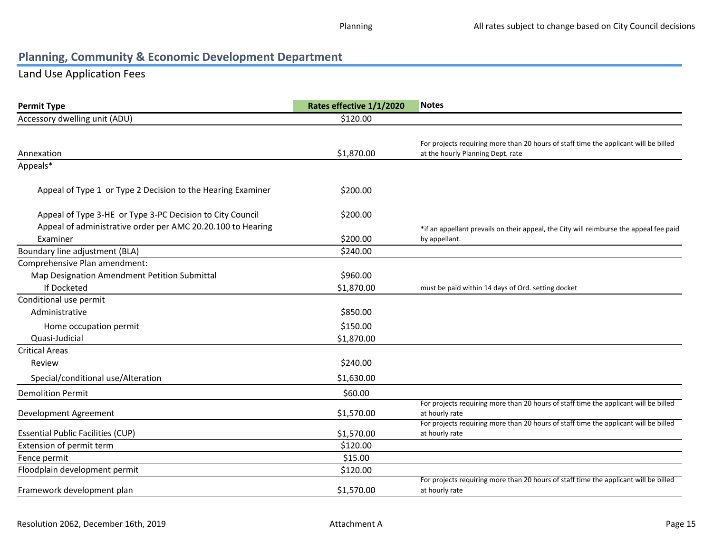## Land Use Application Fees

| <b>Permit Type</b>                                          | Rates effective 1/1/2020 | <b>Notes</b>                                                                                           |
|-------------------------------------------------------------|--------------------------|--------------------------------------------------------------------------------------------------------|
| Accessory dwelling unit (ADU)                               | \$120.00                 |                                                                                                        |
|                                                             |                          |                                                                                                        |
|                                                             |                          | For projects requiring more than 20 hours of staff time the applicant will be billed                   |
| Annexation                                                  | \$1,870.00               | at the hourly Planning Dept. rate                                                                      |
| Appeals*                                                    |                          |                                                                                                        |
| Appeal of Type 1 or Type 2 Decision to the Hearing Examiner | \$200.00                 |                                                                                                        |
|                                                             |                          |                                                                                                        |
| Appeal of Type 3-HE or Type 3-PC Decision to City Council   | \$200.00                 |                                                                                                        |
| Appeal of administrative order per AMC 20.20.100 to Hearing |                          | *if an appellant prevails on their appeal, the City will reimburse the appeal fee paid                 |
| Examiner                                                    | \$200.00                 | by appellant.                                                                                          |
| Boundary line adjustment (BLA)                              | \$240.00                 |                                                                                                        |
| Comprehensive Plan amendment:                               |                          |                                                                                                        |
| Map Designation Amendment Petition Submittal                | \$960.00                 |                                                                                                        |
| If Docketed                                                 | \$1,870.00               | must be paid within 14 days of Ord. setting docket                                                     |
| Conditional use permit                                      |                          |                                                                                                        |
| Administrative                                              | \$850.00                 |                                                                                                        |
| Home occupation permit                                      | \$150.00                 |                                                                                                        |
| Quasi-Judicial                                              | \$1,870.00               |                                                                                                        |
| <b>Critical Areas</b>                                       |                          |                                                                                                        |
| Review                                                      | \$240.00                 |                                                                                                        |
| Special/conditional use/Alteration                          | \$1,630.00               |                                                                                                        |
| <b>Demolition Permit</b>                                    | \$60.00                  |                                                                                                        |
|                                                             |                          | For projects requiring more than 20 hours of staff time the applicant will be billed                   |
| Development Agreement                                       | \$1,570.00               | at hourly rate                                                                                         |
| <b>Essential Public Facilities (CUP)</b>                    | \$1,570.00               | For projects requiring more than 20 hours of staff time the applicant will be billed<br>at hourly rate |
| Extension of permit term                                    | \$120.00                 |                                                                                                        |
| Fence permit                                                | \$15.00                  |                                                                                                        |
| Floodplain development permit                               | \$120.00                 |                                                                                                        |
|                                                             |                          | For projects requiring more than 20 hours of staff time the applicant will be billed                   |
| Framework development plan                                  | \$1,570.00               | at hourly rate                                                                                         |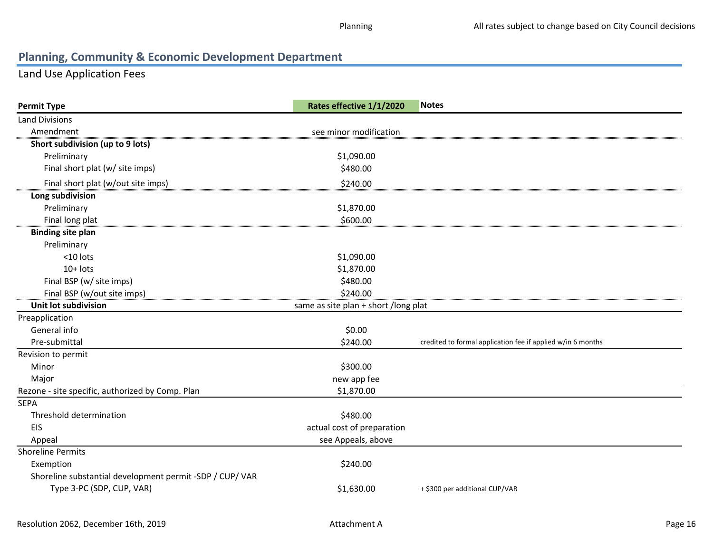## Land Use Application Fees

| <b>Permit Type</b>                                       | Rates effective 1/1/2020             | <b>Notes</b>                                                |
|----------------------------------------------------------|--------------------------------------|-------------------------------------------------------------|
| <b>Land Divisions</b>                                    |                                      |                                                             |
| Amendment                                                | see minor modification               |                                                             |
| Short subdivision (up to 9 lots)                         |                                      |                                                             |
| Preliminary                                              | \$1,090.00                           |                                                             |
| Final short plat (w/ site imps)                          | \$480.00                             |                                                             |
| Final short plat (w/out site imps)                       | \$240.00                             |                                                             |
| Long subdivision                                         |                                      |                                                             |
| Preliminary                                              | \$1,870.00                           |                                                             |
| Final long plat                                          | \$600.00                             |                                                             |
| <b>Binding site plan</b>                                 |                                      |                                                             |
| Preliminary                                              |                                      |                                                             |
| <10 lots                                                 | \$1,090.00                           |                                                             |
| $10+$ lots                                               | \$1,870.00                           |                                                             |
| Final BSP (w/ site imps)                                 | \$480.00                             |                                                             |
| Final BSP (w/out site imps)                              | \$240.00                             |                                                             |
| Unit lot subdivision                                     | same as site plan + short /long plat |                                                             |
| Preapplication                                           |                                      |                                                             |
| General info                                             | \$0.00                               |                                                             |
| Pre-submittal                                            | \$240.00                             | credited to formal application fee if applied w/in 6 months |
| Revision to permit                                       |                                      |                                                             |
| Minor                                                    | \$300.00                             |                                                             |
| Major                                                    | new app fee                          |                                                             |
| Rezone - site specific, authorized by Comp. Plan         | \$1,870.00                           |                                                             |
| <b>SEPA</b>                                              |                                      |                                                             |
| Threshold determination                                  | \$480.00                             |                                                             |
| <b>EIS</b>                                               | actual cost of preparation           |                                                             |
| Appeal                                                   | see Appeals, above                   |                                                             |
| <b>Shoreline Permits</b>                                 |                                      |                                                             |
| Exemption                                                | \$240.00                             |                                                             |
| Shoreline substantial development permit -SDP / CUP/ VAR |                                      |                                                             |
| Type 3-PC (SDP, CUP, VAR)                                | \$1,630.00                           | + \$300 per additional CUP/VAR                              |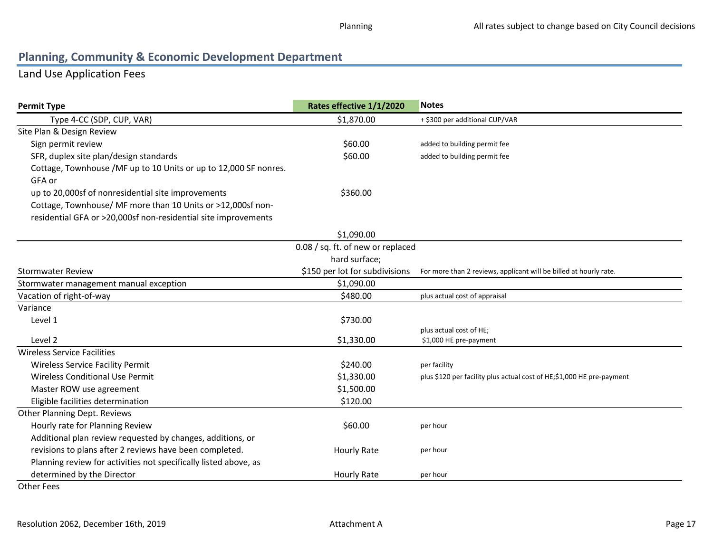## Land Use Application Fees

| <b>Permit Type</b>                                               | Rates effective 1/1/2020          | <b>Notes</b>                                                          |
|------------------------------------------------------------------|-----------------------------------|-----------------------------------------------------------------------|
| Type 4-CC (SDP, CUP, VAR)                                        | \$1,870.00                        | + \$300 per additional CUP/VAR                                        |
| Site Plan & Design Review                                        |                                   |                                                                       |
| Sign permit review                                               | \$60.00                           | added to building permit fee                                          |
| SFR, duplex site plan/design standards                           | \$60.00                           | added to building permit fee                                          |
| Cottage, Townhouse /MF up to 10 Units or up to 12,000 SF nonres. |                                   |                                                                       |
| GFA or                                                           |                                   |                                                                       |
| up to 20,000sf of nonresidential site improvements               | \$360.00                          |                                                                       |
| Cottage, Townhouse/ MF more than 10 Units or >12,000sf non-      |                                   |                                                                       |
| residential GFA or >20,000sf non-residential site improvements   |                                   |                                                                       |
|                                                                  | \$1,090.00                        |                                                                       |
|                                                                  | 0.08 / sq. ft. of new or replaced |                                                                       |
|                                                                  | hard surface;                     |                                                                       |
| <b>Stormwater Review</b>                                         | \$150 per lot for subdivisions    | For more than 2 reviews, applicant will be billed at hourly rate.     |
| Stormwater management manual exception                           | \$1,090.00                        |                                                                       |
| Vacation of right-of-way                                         | \$480.00                          | plus actual cost of appraisal                                         |
| Variance                                                         |                                   |                                                                       |
| Level 1                                                          | \$730.00                          |                                                                       |
| Level 2                                                          | \$1,330.00                        | plus actual cost of HE;                                               |
| <b>Wireless Service Facilities</b>                               |                                   | \$1,000 HE pre-payment                                                |
| Wireless Service Facility Permit                                 | \$240.00                          | per facility                                                          |
| <b>Wireless Conditional Use Permit</b>                           | \$1,330.00                        | plus \$120 per facility plus actual cost of HE;\$1,000 HE pre-payment |
| Master ROW use agreement                                         | \$1,500.00                        |                                                                       |
| Eligible facilities determination                                | \$120.00                          |                                                                       |
| Other Planning Dept. Reviews                                     |                                   |                                                                       |
| Hourly rate for Planning Review                                  | \$60.00                           | per hour                                                              |
| Additional plan review requested by changes, additions, or       |                                   |                                                                       |
| revisions to plans after 2 reviews have been completed.          | <b>Hourly Rate</b>                | per hour                                                              |
| Planning review for activities not specifically listed above, as |                                   |                                                                       |
| determined by the Director                                       | Hourly Rate                       | per hour                                                              |
|                                                                  |                                   |                                                                       |

Other Fees